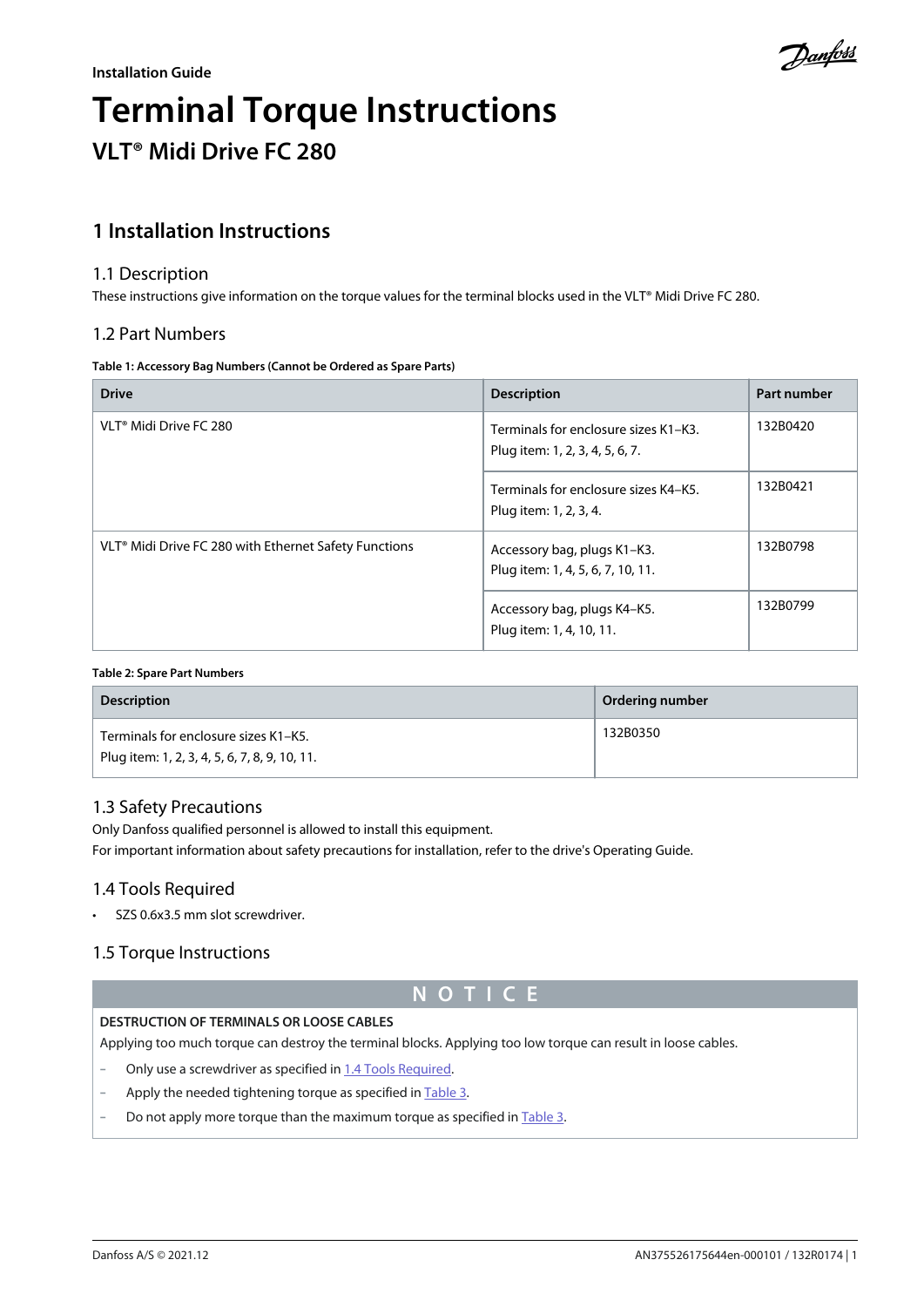

# **Terminal Torque Instructions VLT® Midi Drive FC 280**

# **1 Installation Instructions**

## 1.1 Description

These instructions give information on the torque values for the terminal blocks used in the VLT® Midi Drive FC 280.

## 1.2 Part Numbers

#### **Table 1: Accessory Bag Numbers (Cannot be Ordered as Spare Parts)**

| <b>Drive</b>                                                      | <b>Description</b>                                                      | Part number |
|-------------------------------------------------------------------|-------------------------------------------------------------------------|-------------|
| VLT <sup>®</sup> Midi Drive FC 280                                | Terminals for enclosure sizes K1-K3.<br>Plug item: 1, 2, 3, 4, 5, 6, 7. | 132B0420    |
|                                                                   | Terminals for enclosure sizes K4-K5.<br>Plug item: 1, 2, 3, 4.          | 132B0421    |
| VLT <sup>®</sup> Midi Drive FC 280 with Ethernet Safety Functions | Accessory bag, plugs K1-K3.<br>Plug item: 1, 4, 5, 6, 7, 10, 11.        | 132B0798    |
|                                                                   | Accessory bag, plugs K4-K5.<br>Plug item: 1, 4, 10, 11.                 | 132B0799    |

#### **Table 2: Spare Part Numbers**

| <b>Description</b>                                                                    | Ordering number |
|---------------------------------------------------------------------------------------|-----------------|
| Terminals for enclosure sizes K1-K5.<br>Plug item: 1, 2, 3, 4, 5, 6, 7, 8, 9, 10, 11. | 132B0350        |

# 1.3 Safety Precautions

Only Danfoss qualified personnel is allowed to install this equipment.

For important information about safety precautions for installation, refer to the drive's Operating Guide.

# 1.4 Tools Required

• SZS 0.6x3.5 mm slot screwdriver.

# 1.5 Torque Instructions

# **N O T I C E**

#### **DESTRUCTION OF TERMINALS OR LOOSE CABLES**

Applying too much torque can destroy the terminal blocks. Applying too low torque can result in loose cables.

- Only use a screwdriver as specified in 1.4 Tools Required.
- Apply the needed tightening torque as specified in [Table 3.](#page-1-0)
- Do not apply more torque than the maximum torque as specified in [Table 3](#page-1-0).